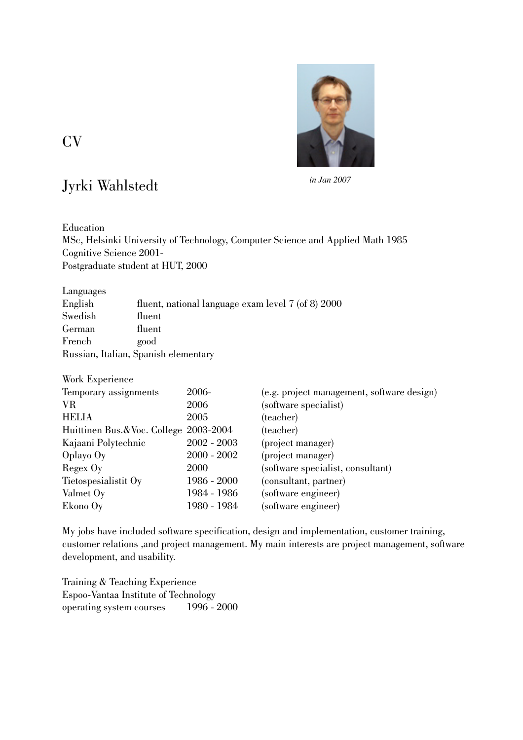

CV

## Jyrki Wahlstedt

*in Jan 2007*

Education MSc, Helsinki University of Technology, Computer Science and Applied Math 1985 Cognitive Science 2001- Postgraduate student at HUT, 2000

Languages

| English                              | fluent, national language exam level 7 (of 8) 2000 |  |  |
|--------------------------------------|----------------------------------------------------|--|--|
| Swedish                              | fluent                                             |  |  |
| German                               | fluent                                             |  |  |
| French                               | good                                               |  |  |
| Russian, Italian, Spanish elementary |                                                    |  |  |

| Work Experience                       |               |                                            |  |  |
|---------------------------------------|---------------|--------------------------------------------|--|--|
| Temporary assignments                 | 2006-         | (e.g. project management, software design) |  |  |
| VR                                    | 2006          | (software specialist)                      |  |  |
| <b>HELIA</b>                          | 2005          | (teacher)                                  |  |  |
| Huittinen Bus.&Voc. College 2003-2004 |               | (teacher)                                  |  |  |
| Kajaani Polytechnic                   | $2002 - 2003$ | (project manager)                          |  |  |
| $O$ playo $Oy$                        | $2000 - 2002$ | (project manager)                          |  |  |
| Regex Oy                              | 2000          | (software specialist, consultant)          |  |  |
| Tietospesialistit Oy                  | 1986 - 2000   | (consultant, partner)                      |  |  |
| Valmet Oy                             | 1984 - 1986   | (software engineer)                        |  |  |
| Ekono Oy                              | 1980 - 1984   | (software engineer)                        |  |  |

My jobs have included software specification, design and implementation, customer training, customer relations ,and project management. My main interests are project management, software development, and usability.

Training & Teaching Experience Espoo-Vantaa Institute of Technology operating system courses 1996 - 2000